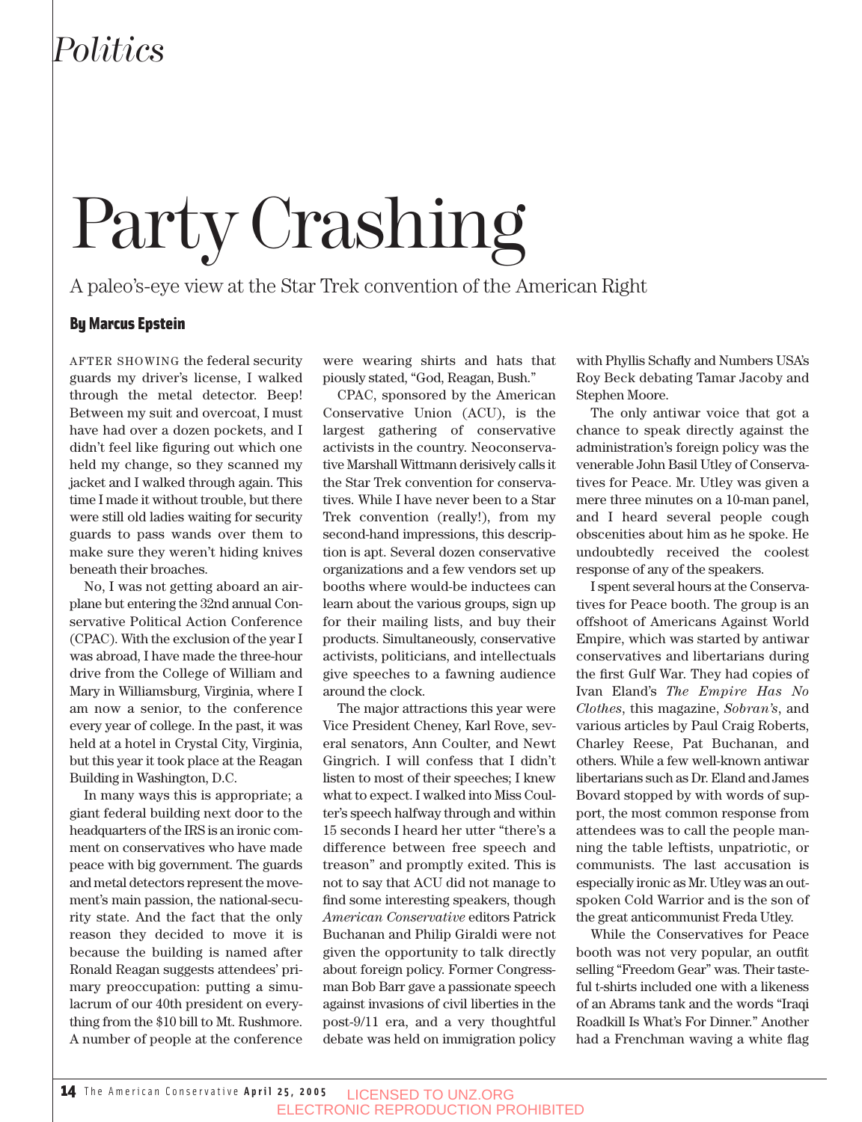## *Politics*

# Party Crashing

A paleo's-eye view at the Star Trek convention of the American Right

#### By Marcus Epstein

AFTER SHOWING the federal security guards my driver's license, I walked through the metal detector. Beep! Between my suit and overcoat, I must have had over a dozen pockets, and I didn't feel like figuring out which one held my change, so they scanned my jacket and I walked through again. This time I made it without trouble, but there were still old ladies waiting for security guards to pass wands over them to make sure they weren't hiding knives beneath their broaches.

No, I was not getting aboard an airplane but entering the 32nd annual Conservative Political Action Conference (CPAC). With the exclusion of the year I was abroad, I have made the three-hour drive from the College of William and Mary in Williamsburg, Virginia, where I am now a senior, to the conference every year of college. In the past, it was held at a hotel in Crystal City, Virginia, but this year it took place at the Reagan Building in Washington, D.C.

In many ways this is appropriate; a giant federal building next door to the headquarters of the IRS is an ironic comment on conservatives who have made peace with big government. The guards and metal detectors represent the movement's main passion, the national-security state. And the fact that the only reason they decided to move it is because the building is named after Ronald Reagan suggests attendees' primary preoccupation: putting a simulacrum of our 40th president on everything from the \$10 bill to Mt. Rushmore. A number of people at the conference

were wearing shirts and hats that piously stated, "God, Reagan, Bush."

CPAC, sponsored by the American Conservative Union (ACU), is the largest gathering of conservative activists in the country. Neoconservative Marshall Wittmann derisively calls it the Star Trek convention for conservatives. While I have never been to a Star Trek convention (really!), from my second-hand impressions, this description is apt. Several dozen conservative organizations and a few vendors set up booths where would-be inductees can learn about the various groups, sign up for their mailing lists, and buy their products. Simultaneously, conservative activists, politicians, and intellectuals give speeches to a fawning audience around the clock.

The major attractions this year were Vice President Cheney, Karl Rove, several senators, Ann Coulter, and Newt Gingrich. I will confess that I didn't listen to most of their speeches; I knew what to expect. I walked into Miss Coulter's speech halfway through and within 15 seconds I heard her utter "there's a difference between free speech and treason" and promptly exited. This is not to say that ACU did not manage to find some interesting speakers, though *American Conservative* editors Patrick Buchanan and Philip Giraldi were not given the opportunity to talk directly about foreign policy. Former Congressman Bob Barr gave a passionate speech against invasions of civil liberties in the post-9/11 era, and a very thoughtful debate was held on immigration policy with Phyllis Schafly and Numbers USA's Roy Beck debating Tamar Jacoby and Stephen Moore.

The only antiwar voice that got a chance to speak directly against the administration's foreign policy was the venerable John Basil Utley of Conservatives for Peace. Mr. Utley was given a mere three minutes on a 10-man panel, and I heard several people cough obscenities about him as he spoke. He undoubtedly received the coolest response of any of the speakers.

I spent several hours at the Conservatives for Peace booth. The group is an offshoot of Americans Against World Empire, which was started by antiwar conservatives and libertarians during the first Gulf War. They had copies of Ivan Eland's *The Empire Has No Clothes*, this magazine, *Sobran's*, and various articles by Paul Craig Roberts, Charley Reese, Pat Buchanan, and others. While a few well-known antiwar libertarians such as Dr. Eland and James Bovard stopped by with words of support, the most common response from attendees was to call the people manning the table leftists, unpatriotic, or communists. The last accusation is especially ironic as Mr. Utley was an outspoken Cold Warrior and is the son of the great anticommunist Freda Utley.

While the Conservatives for Peace booth was not very popular, an outfit selling "Freedom Gear" was. Their tasteful t-shirts included one with a likeness of an Abrams tank and the words "Iraqi Roadkill Is What's For Dinner." Another had a Frenchman waving a white flag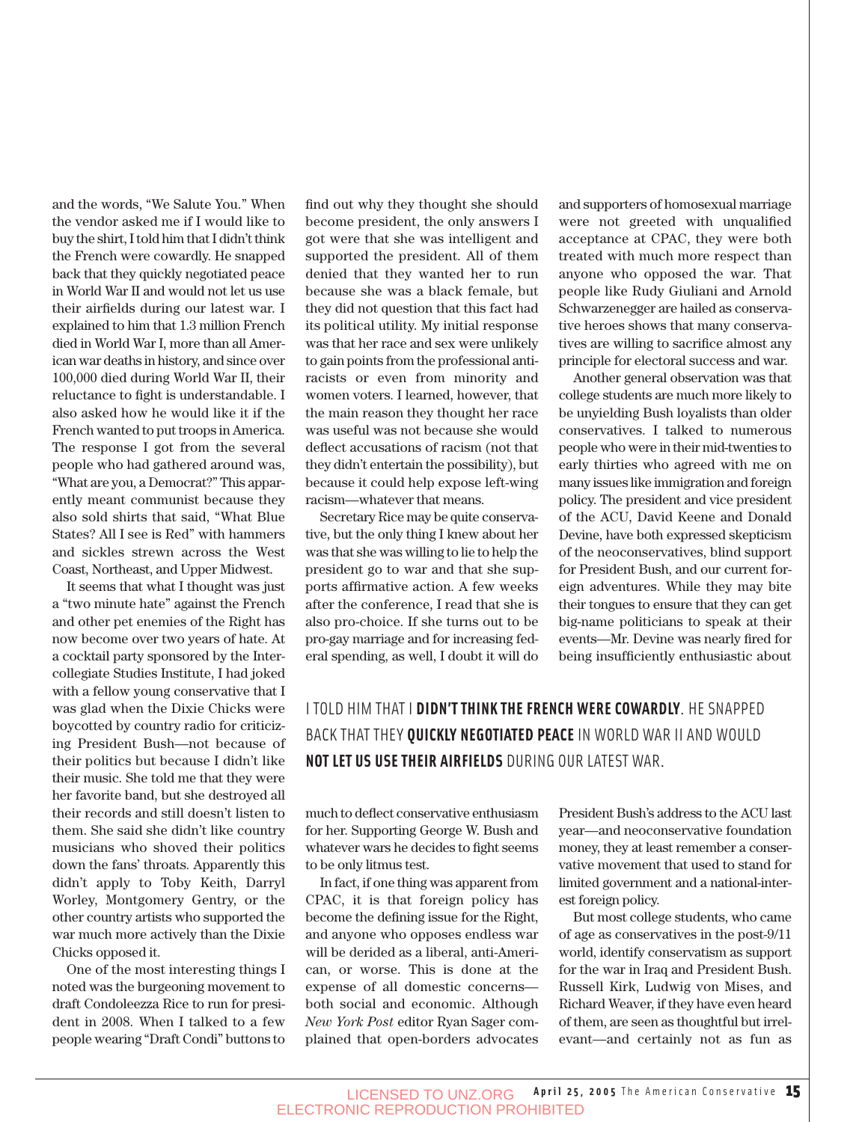and the words, "We Salute You." When the vendor asked me if I would like to buy the shirt, I told him that I didn't think the French were cowardly. He snapped back that they quickly negotiated peace in World War II and would not let us use their airfields during our latest war. I explained to him that 1.3 million French died in World War I, more than all American war deaths in history, and since over 100,000 died during World War II, their reluctance to fight is understandable. I also asked how he would like it if the French wanted to put troops in America. The response I got from the several people who had gathered around was, "What are you, a Democrat?" This apparently meant communist because they also sold shirts that said, "What Blue States? All I see is Red" with hammers and sickles strewn across the West Coast, Northeast, and Upper Midwest.

It seems that what I thought was just a "two minute hate" against the French and other pet enemies of the Right has now become over two years of hate. At a cocktail party sponsored by the Intercollegiate Studies Institute, I had joked with a fellow young conservative that I was glad when the Dixie Chicks were boycotted by country radio for criticizing President Bush—not because of their politics but because I didn't like their music. She told me that they were her favorite band, but she destroyed all their records and still doesn't listen to them. She said she didn't like country musicians who shoved their politics down the fans' throats. Apparently this didn't apply to Toby Keith, Darryl Worley, Montgomery Gentry, or the other country artists who supported the war much more actively than the Dixie Chicks opposed it.

One of the most interesting things I noted was the burgeoning movement to draft Condoleezza Rice to run for president in 2008. When I talked to a few people wearing "Draft Condi" buttons to find out why they thought she should become president, the only answers I got were that she was intelligent and supported the president. All of them denied that they wanted her to run because she was a black female, but they did not question that this fact had its political utility. My initial response was that her race and sex were unlikely to gain points from the professional antiracists or even from minority and women voters. I learned, however, that the main reason they thought her race was useful was not because she would deflect accusations of racism (not that they didn't entertain the possibility), but because it could help expose left-wing racism—whatever that means.

Secretary Rice may be quite conservative, but the only thing I knew about her was that she was willing to lie to help the president go to war and that she supports affirmative action. A few weeks after the conference, I read that she is also pro-choice. If she turns out to be pro-gay marriage and for increasing federal spending, as well, I doubt it will do and supporters of homosexual marriage were not greeted with unqualified acceptance at CPAC, they were both treated with much more respect than anyone who opposed the war. That people like Rudy Giuliani and Arnold Schwarzenegger are hailed as conservative heroes shows that many conservatives are willing to sacrifice almost any principle for electoral success and war.

Another general observation was that college students are much more likely to be unyielding Bush loyalists than older conservatives. I talked to numerous people who were in their mid-twenties to early thirties who agreed with me on many issues like immigration and foreign policy. The president and vice president of the ACU, David Keene and Donald Devine, have both expressed skepticism of the neoconservatives, blind support for President Bush, and our current foreign adventures. While they may bite their tongues to ensure that they can get big-name politicians to speak at their events—Mr. Devine was nearly fired for being insufficiently enthusiastic about

#### I TOLD HIM THAT I **DIDN'T THINK THE FRENCH WERE COWARDLY**. HE SNAPPED BACK THAT THEY **QUICKLY NEGOTIATED PEACE**IN WORLD WAR II AND WOULD **NOT LET US USE THEIR AIRFIELDS** DURING OUR LATEST WAR.

much to deflect conservative enthusiasm for her. Supporting George W. Bush and whatever wars he decides to fight seems to be only litmus test.

In fact, if one thing was apparent from CPAC, it is that foreign policy has become the defining issue for the Right, and anyone who opposes endless war will be derided as a liberal, anti-American, or worse. This is done at the expense of all domestic concerns both social and economic. Although *New York Post* editor Ryan Sager complained that open-borders advocates President Bush's address to the ACU last year—and neoconservative foundation money, they at least remember a conservative movement that used to stand for limited government and a national-interest foreign policy.

But most college students, who came of age as conservatives in the post-9/11 world, identify conservatism as support for the war in Iraq and President Bush. Russell Kirk, Ludwig von Mises, and Richard Weaver, if they have even heard of them, are seen as thoughtful but irrelevant—and certainly not as fun as